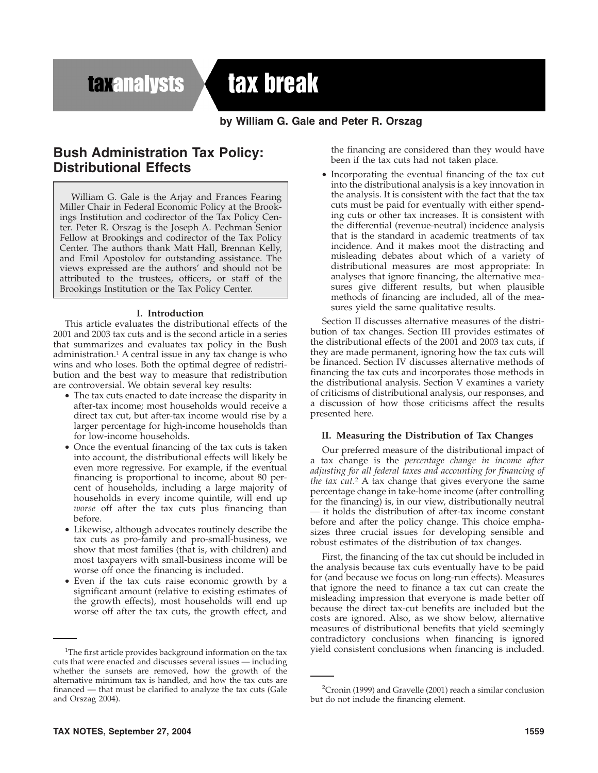**taxanalysts** 

# tax break

# **by William G. Gale and Peter R. Orszag**

# **Bush Administration Tax Policy: Distributional Effects**

William G. Gale is the Arjay and Frances Fearing Miller Chair in Federal Economic Policy at the Brookings Institution and codirector of the Tax Policy Center. Peter R. Orszag is the Joseph A. Pechman Senior Fellow at Brookings and codirector of the Tax Policy Center. The authors thank Matt Hall, Brennan Kelly, and Emil Apostolov for outstanding assistance. The views expressed are the authors' and should not be attributed to the trustees, officers, or staff of the Brookings Institution or the Tax Policy Center.

### **I. Introduction**

This article evaluates the distributional effects of the 2001 and 2003 tax cuts and is the second article in a series that summarizes and evaluates tax policy in the Bush administration.1 A central issue in any tax change is who wins and who loses. Both the optimal degree of redistribution and the best way to measure that redistribution are controversial. We obtain several key results:

- The tax cuts enacted to date increase the disparity in after-tax income; most households would receive a direct tax cut, but after-tax income would rise by a larger percentage for high-income households than for low-income households.
- Once the eventual financing of the tax cuts is taken into account, the distributional effects will likely be even more regressive. For example, if the eventual financing is proportional to income, about 80 percent of households, including a large majority of households in every income quintile, will end up *worse* off after the tax cuts plus financing than before.
- Likewise, although advocates routinely describe the tax cuts as pro-family and pro-small-business, we show that most families (that is, with children) and most taxpayers with small-business income will be worse off once the financing is included.
- Even if the tax cuts raise economic growth by a significant amount (relative to existing estimates of the growth effects), most households will end up worse off after the tax cuts, the growth effect, and

the financing are considered than they would have been if the tax cuts had not taken place.

• Incorporating the eventual financing of the tax cut into the distributional analysis is a key innovation in the analysis. It is consistent with the fact that the tax cuts must be paid for eventually with either spending cuts or other tax increases. It is consistent with the differential (revenue-neutral) incidence analysis that is the standard in academic treatments of tax incidence. And it makes moot the distracting and misleading debates about which of a variety of distributional measures are most appropriate: In analyses that ignore financing, the alternative measures give different results, but when plausible methods of financing are included, all of the measures yield the same qualitative results.

Section II discusses alternative measures of the distribution of tax changes. Section III provides estimates of the distributional effects of the 2001 and 2003 tax cuts, if they are made permanent, ignoring how the tax cuts will be financed. Section IV discusses alternative methods of financing the tax cuts and incorporates those methods in the distributional analysis. Section V examines a variety of criticisms of distributional analysis, our responses, and a discussion of how those criticisms affect the results presented here.

#### **II. Measuring the Distribution of Tax Changes**

Our preferred measure of the distributional impact of a tax change is the *percentage change in income after adjusting for all federal taxes and accounting for financing of the tax cut.*<sup>2</sup> A tax change that gives everyone the same percentage change in take-home income (after controlling for the financing) is, in our view, distributionally neutral — it holds the distribution of after-tax income constant before and after the policy change. This choice emphasizes three crucial issues for developing sensible and robust estimates of the distribution of tax changes.

First, the financing of the tax cut should be included in the analysis because tax cuts eventually have to be paid for (and because we focus on long-run effects). Measures that ignore the need to finance a tax cut can create the misleading impression that everyone is made better off because the direct tax-cut benefits are included but the costs are ignored. Also, as we show below, alternative measures of distributional benefits that yield seemingly contradictory conclusions when financing is ignored yield consistent conclusions when financing is included.

<sup>&</sup>lt;sup>1</sup>The first article provides background information on the tax cuts that were enacted and discusses several issues — including whether the sunsets are removed, how the growth of the alternative minimum tax is handled, and how the tax cuts are financed — that must be clarified to analyze the tax cuts (Gale and Orszag 2004).

<sup>&</sup>lt;sup>2</sup> Cronin (1999) and Gravelle (2001) reach a similar conclusion but do not include the financing element.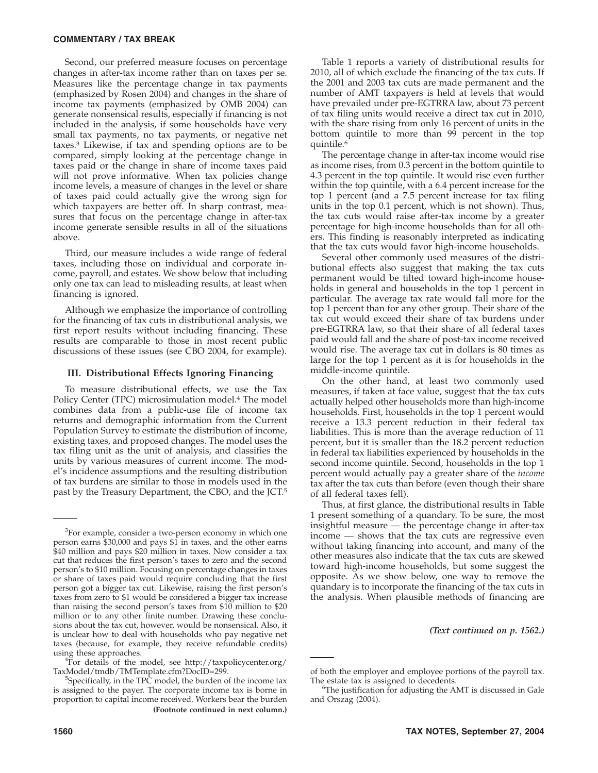#### **COMMENTARY / TAX BREAK**

Second, our preferred measure focuses on percentage changes in after-tax income rather than on taxes per se. Measures like the percentage change in tax payments (emphasized by Rosen 2004) and changes in the share of income tax payments (emphasized by OMB 2004) can generate nonsensical results, especially if financing is not included in the analysis, if some households have very small tax payments, no tax payments, or negative net taxes.3 Likewise, if tax and spending options are to be compared, simply looking at the percentage change in taxes paid or the change in share of income taxes paid will not prove informative. When tax policies change income levels, a measure of changes in the level or share of taxes paid could actually give the wrong sign for which taxpayers are better off. In sharp contrast, measures that focus on the percentage change in after-tax income generate sensible results in all of the situations above.

Third, our measure includes a wide range of federal taxes, including those on individual and corporate income, payroll, and estates. We show below that including only one tax can lead to misleading results, at least when financing is ignored.

Although we emphasize the importance of controlling for the financing of tax cuts in distributional analysis, we first report results without including financing. These results are comparable to those in most recent public discussions of these issues (see CBO 2004, for example).

#### **III. Distributional Effects Ignoring Financing**

To measure distributional effects, we use the Tax Policy Center (TPC) microsimulation model.<sup>4</sup> The model combines data from a public-use file of income tax returns and demographic information from the Current Population Survey to estimate the distribution of income, existing taxes, and proposed changes. The model uses the tax filing unit as the unit of analysis, and classifies the units by various measures of current income. The model's incidence assumptions and the resulting distribution of tax burdens are similar to those in models used in the past by the Treasury Department, the CBO, and the JCT.5

 $\frac{45}{10}$  details of the model, see http://taxpolicycenter.org/ TaxModel/tmdb/TMTemplate.cfm?DocID=299. <sup>5</sup>

Table 1 reports a variety of distributional results for 2010, all of which exclude the financing of the tax cuts. If the 2001 and 2003 tax cuts are made permanent and the number of AMT taxpayers is held at levels that would have prevailed under pre-EGTRRA law, about 73 percent of tax filing units would receive a direct tax cut in 2010, with the share rising from only 16 percent of units in the bottom quintile to more than 99 percent in the top quintile.6

The percentage change in after-tax income would rise as income rises, from 0.3 percent in the bottom quintile to 4.3 percent in the top quintile. It would rise even further within the top quintile, with a 6.4 percent increase for the top 1 percent (and a 7.5 percent increase for tax filing units in the top 0.1 percent, which is not shown). Thus, the tax cuts would raise after-tax income by a greater percentage for high-income households than for all others. This finding is reasonably interpreted as indicating that the tax cuts would favor high-income households.

Several other commonly used measures of the distributional effects also suggest that making the tax cuts permanent would be tilted toward high-income households in general and households in the top 1 percent in particular. The average tax rate would fall more for the top 1 percent than for any other group. Their share of the tax cut would exceed their share of tax burdens under pre-EGTRRA law, so that their share of all federal taxes paid would fall and the share of post-tax income received would rise. The average tax cut in dollars is 80 times as large for the top 1 percent as it is for households in the middle-income quintile.

On the other hand, at least two commonly used measures, if taken at face value, suggest that the tax cuts actually helped other households more than high-income households. First, households in the top 1 percent would receive a 13.3 percent reduction in their federal tax liabilities. This is more than the average reduction of 11 percent, but it is smaller than the 18.2 percent reduction in federal tax liabilities experienced by households in the second income quintile. Second, households in the top 1 percent would actually pay a greater share of the *income* tax after the tax cuts than before (even though their share of all federal taxes fell).

Thus, at first glance, the distributional results in Table 1 present something of a quandary. To be sure, the most insightful measure — the percentage change in after-tax income — shows that the tax cuts are regressive even without taking financing into account, and many of the other measures also indicate that the tax cuts are skewed toward high-income households, but some suggest the opposite. As we show below, one way to remove the quandary is to incorporate the financing of the tax cuts in the analysis. When plausible methods of financing are

*(Text continued on p. 1562.)*

<sup>&</sup>lt;sup>3</sup>For example, consider a two-person economy in which one person earns \$30,000 and pays \$1 in taxes, and the other earns \$40 million and pays \$20 million in taxes. Now consider a tax cut that reduces the first person's taxes to zero and the second person's to \$10 million. Focusing on percentage changes in taxes or share of taxes paid would require concluding that the first person got a bigger tax cut. Likewise, raising the first person's taxes from zero to \$1 would be considered a bigger tax increase than raising the second person's taxes from \$10 million to \$20 million or to any other finite number. Drawing these conclusions about the tax cut, however, would be nonsensical. Also, it is unclear how to deal with households who pay negative net taxes (because, for example, they receive refundable credits) using these approaches. <sup>4</sup>

<sup>&</sup>lt;sup>5</sup>Specifically, in the TPC model, the burden of the income tax is assigned to the payer. The corporate income tax is borne in proportion to capital income received. Workers bear the burden **(Footnote continued in next column.)**

of both the employer and employee portions of the payroll tax. The estate tax is assigned to decedents.

 ${}^{6}$ The justification for adjusting the AMT is discussed in Gale and Orszag (2004).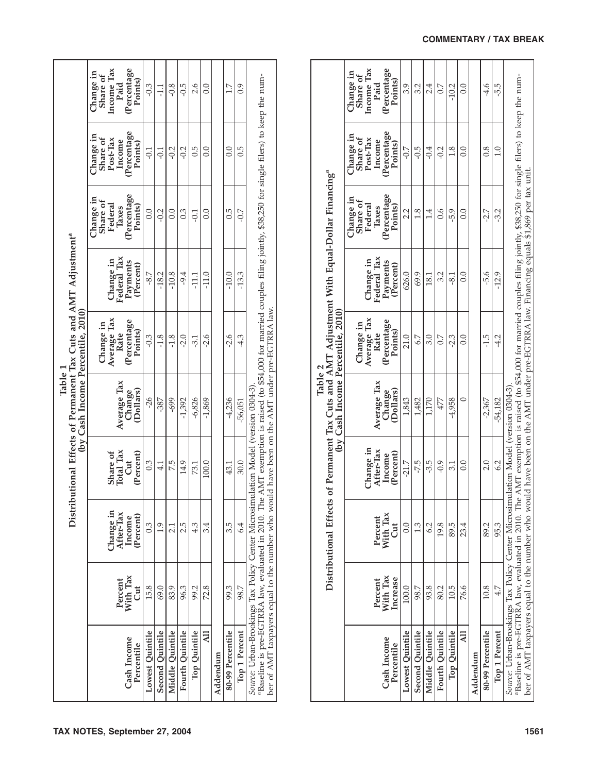| (by Cash Income Percentile, 2010)<br>Table 1                                 | Income Tax<br>(Percentage<br>Change in<br>Share of<br>Points)<br>Paid<br>(Percentage<br>Change in<br>Post-Tax<br>Share of<br>Income<br>Points)<br>(Percentage<br>Change in<br>Share of<br>Federal<br>Points)<br>Taxes<br>Federal Tax<br>Change in<br>Payments<br>(Percent)<br>Average Tax<br>Percentage<br>Change in<br>Points)<br>Rate<br>Average Tax<br>$\rm (Dollars)$<br>Change<br>Total Tax<br>Share of<br>(Percent)<br><b>Jut</b> | $-0.3$<br>$-0.1$<br>0.0<br>$-8.7$<br>$-0.3$<br>$-26$<br>0.3 | 급<br>$-0.1$<br>$-0.2$<br>$-18.2$<br>$-1.8$<br>-387<br>$\frac{1}{4}$ | $-0.8$<br>$-0.2$<br>0.0<br>$-10.8$<br>$-1.8$<br>-699<br>7.5 | -0.5<br>$-0.2$<br>$0.\overline{3}$<br>$-9.4$<br>$-2.0$<br>$-1,392$<br>14.9 | 2.6<br>0.5<br>Ξ,<br>$\frac{111}{111}$<br>-3.1<br>$-6,826$<br>73.1 | 0.0<br>0.0<br>0.0<br>$-11.0$<br>-2.6<br>$-1,869$<br>100.0 |          | $\frac{1}{1}$<br>0.0<br>$0.\overline{5}$<br>$-10.0$<br>$-2.6$<br>4,236<br>43.1 | 0.9<br>0.5<br>$-0.7$<br>$-13.3$<br>4.3<br>$-56,051$<br>30.0 | "Baseline is pre-EGTRRA law, evaluated in 2010. The AMT exemption is raised (to \$54,000 for married couples filing jointly, \$38,250 for single filers) to keep the num-<br>ld have been on the AMT under pre-EGTRRA law<br>Source: Urban-Brookings Tax Policy Center Microsimulation Model (version 0304-3) |
|------------------------------------------------------------------------------|-----------------------------------------------------------------------------------------------------------------------------------------------------------------------------------------------------------------------------------------------------------------------------------------------------------------------------------------------------------------------------------------------------------------------------------------|-------------------------------------------------------------|---------------------------------------------------------------------|-------------------------------------------------------------|----------------------------------------------------------------------------|-------------------------------------------------------------------|-----------------------------------------------------------|----------|--------------------------------------------------------------------------------|-------------------------------------------------------------|---------------------------------------------------------------------------------------------------------------------------------------------------------------------------------------------------------------------------------------------------------------------------------------------------------------|
| Distributional Effects of Permanent Tax Cuts and AMT Adjustment <sup>a</sup> |                                                                                                                                                                                                                                                                                                                                                                                                                                         |                                                             |                                                                     |                                                             |                                                                            |                                                                   |                                                           |          |                                                                                |                                                             |                                                                                                                                                                                                                                                                                                               |
|                                                                              |                                                                                                                                                                                                                                                                                                                                                                                                                                         |                                                             |                                                                     |                                                             |                                                                            |                                                                   |                                                           |          |                                                                                |                                                             |                                                                                                                                                                                                                                                                                                               |
|                                                                              |                                                                                                                                                                                                                                                                                                                                                                                                                                         |                                                             |                                                                     |                                                             |                                                                            |                                                                   |                                                           |          |                                                                                |                                                             |                                                                                                                                                                                                                                                                                                               |
|                                                                              |                                                                                                                                                                                                                                                                                                                                                                                                                                         |                                                             |                                                                     |                                                             |                                                                            |                                                                   |                                                           |          |                                                                                |                                                             |                                                                                                                                                                                                                                                                                                               |
|                                                                              | Thange in<br>After-Tax<br>(Percent)<br>Income                                                                                                                                                                                                                                                                                                                                                                                           | 0.3                                                         | 1.9                                                                 | $\frac{1}{2}$                                               | 2.5                                                                        | 4.3                                                               | 3.4                                                       |          | 3.5                                                                            | 6.4                                                         |                                                                                                                                                                                                                                                                                                               |
|                                                                              | With Tax<br>Percent<br><b>Jut</b>                                                                                                                                                                                                                                                                                                                                                                                                       | 15.8                                                        | 69.0                                                                | 83.9                                                        | 96.3                                                                       | 99.2                                                              | 72.8                                                      |          | 99.3                                                                           | 98.7                                                        |                                                                                                                                                                                                                                                                                                               |
|                                                                              | Cash Income<br>Percentile                                                                                                                                                                                                                                                                                                                                                                                                               | Lowest Quintile                                             | Second Quintile                                                     | Middle Quintile                                             | Fourth Quintile                                                            | Top Quintile                                                      | $\overline{a}$                                            | Addendum | 80-99 Percentile                                                               | Top 1 Percent                                               | ber of AMT taxpayers equal to the number who wou                                                                                                                                                                                                                                                              |

|                                                                                                                                                                                                                    |                                 | Distributional Effects o |                                  | (by Cash Income Percentile, 2010)<br>Table 2 |                                  |                                     | of Permanent Tax Cuts and AMT Adjustment With Equal-Dollar Financing <sup>a</sup>                                                                                                                           |                                             |                                             |
|--------------------------------------------------------------------------------------------------------------------------------------------------------------------------------------------------------------------|---------------------------------|--------------------------|----------------------------------|----------------------------------------------|----------------------------------|-------------------------------------|-------------------------------------------------------------------------------------------------------------------------------------------------------------------------------------------------------------|---------------------------------------------|---------------------------------------------|
|                                                                                                                                                                                                                    |                                 | Percent                  | Change in                        |                                              | Average Tax<br>Change in<br>Rate | Change in                           | Change in<br>Share of<br>Federal                                                                                                                                                                            | Change in<br>Share of<br>Post-Tax<br>Income | Income Tax<br>Change in<br>Share of<br>Paid |
| Cash Income<br>Percentile                                                                                                                                                                                          | With Tax<br>Increase<br>Percent | With Tax<br><b>U</b> t   | After-Tax<br>(Percent)<br>Income | Average Tax<br>(Dollars)<br>Change           | (Percentage<br>Points)           | Federal Tax<br>Payments<br>Percent) | (Percentage<br>Points)<br>Taxes                                                                                                                                                                             | Percentage<br>Points)                       | (Percentage<br>Points)                      |
| Lowest Quintile                                                                                                                                                                                                    | 100.0                           | 0.0                      | $-21.7$                          | 1,843                                        | 21.0                             | 626.0                               | 2.2                                                                                                                                                                                                         | $-0.7$                                      | 3.9                                         |
| Second Quintile                                                                                                                                                                                                    | 98.7                            | 1.3                      | -7.5                             | 1,482                                        | 5.7                              | 69.9                                | 1.8                                                                                                                                                                                                         | $-0.5$                                      | 3.2                                         |
| Middle Quintile                                                                                                                                                                                                    | 93.8                            | 6.2                      | -3.5                             | 1,170                                        | 3.0                              | 181                                 | $\dot{1}4$                                                                                                                                                                                                  | $-0.4$                                      | 24                                          |
| Fourth Quintile                                                                                                                                                                                                    | 80.2                            | 19.8                     | $-0.9$                           | 477                                          | $\sim$                           | 3.2                                 | $\ddot{9}0$                                                                                                                                                                                                 | $-0.2$                                      | $\frac{7}{2}$                               |
| Top Quintile                                                                                                                                                                                                       | 10.5                            | 89.5                     | 3.1                              | -4,958                                       | $-2.3$                           | $-8.1$                              | $-5.9$                                                                                                                                                                                                      | 1.8                                         | $-10.2$                                     |
| Ę                                                                                                                                                                                                                  | 76.6                            | 23.4                     | 0.0                              |                                              | 0.0                              | 0.0                                 | 0.0                                                                                                                                                                                                         | 0.0                                         | 0.0                                         |
| Addendum                                                                                                                                                                                                           |                                 |                          |                                  |                                              |                                  |                                     |                                                                                                                                                                                                             |                                             |                                             |
| 80-99 Percentile                                                                                                                                                                                                   | 10.8                            | 89.2                     | 2.0                              | -2,367                                       | $-1.5$                           | $-5.6$                              | -2.7                                                                                                                                                                                                        | 0.8                                         | $-4.6$                                      |
| Top 1 Percent                                                                                                                                                                                                      | 4.7                             | 95.3                     | 6.2                              | $-54,182$                                    | $-4.2$                           | $-12.9$                             | -3.2                                                                                                                                                                                                        | $\overline{1.0}$                            | 5.5                                         |
| Source: Urban-Brookings Tax Policy Center Microsimulation Model (version 0304-3)<br>ber of AMT taxpayers equal to the number who would<br><sup>a</sup> Baseline is pre-EGTRRA law, evaluated in 2010. The <i>i</i> |                                 |                          |                                  |                                              |                                  |                                     | AMT exemption is raised (to \$94,000 for married couples filing jointly, \$38,250 for single filers) to keep the num-<br>d have been on the AMT under pre-EGTRRA law. Financing equals \$1,869 per tax unit |                                             |                                             |
|                                                                                                                                                                                                                    |                                 |                          |                                  |                                              |                                  |                                     |                                                                                                                                                                                                             |                                             |                                             |

## **COMMENTARY / TAX BREAK**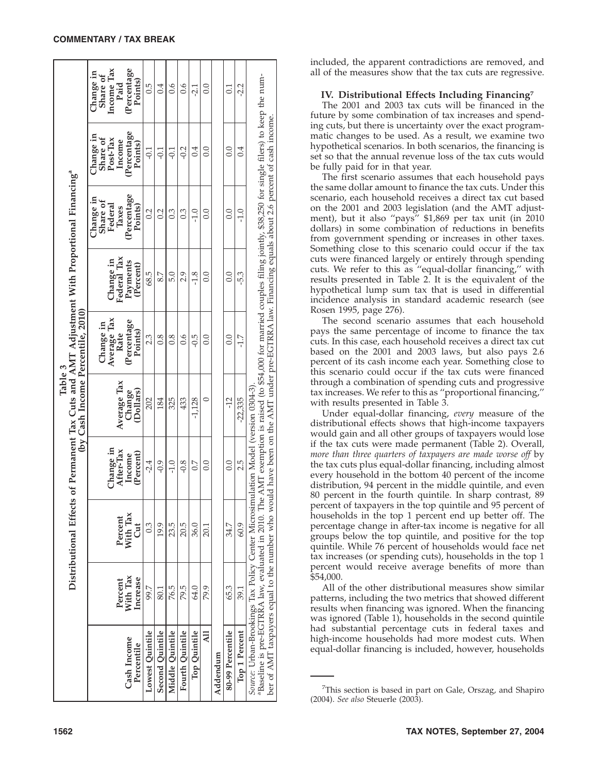|                                                                                                                                                                           |                      | Distributional Effects |                                  | Table 3             | of Permanent Tax Cuts and AMT Adjustment With Proportional Financing <sup>a</sup><br>(by Cash Income Percentile, 2010) |                          |                                           |                                             |                                             |
|---------------------------------------------------------------------------------------------------------------------------------------------------------------------------|----------------------|------------------------|----------------------------------|---------------------|------------------------------------------------------------------------------------------------------------------------|--------------------------|-------------------------------------------|---------------------------------------------|---------------------------------------------|
|                                                                                                                                                                           | Percent              | Percent                | Change in                        | Average Tax         | Average Tax<br>Change in<br>Rate                                                                                       | Federal Tax<br>Change in | Change in<br>Share of<br>Federal<br>Taxes | Change in<br>Share of<br>Post-Tax<br>Income | Income Tax<br>Change in<br>Share of<br>Paid |
| Cash Income<br>Percentile                                                                                                                                                 | With Tax<br>Increase | With Tax<br>Cut        | After-Tax<br>(Percent)<br>Income | (Dollars)<br>Change | Percentage<br>Points)                                                                                                  | Payments<br>(Percent)    | (Percentage<br>Points)                    | (Percentage<br>Points)                      | (Percentage<br>Points)                      |
| Lowest Quintile                                                                                                                                                           | 7.66                 | 0.3                    | $-2.4$                           | 202                 | 2.3                                                                                                                    | 68.5                     | 0.2                                       | $-0.1$                                      | 0.5                                         |
| Second Quintile                                                                                                                                                           | 80.1                 | 19.9                   | $-0.9$                           | 184                 | $\overline{0.8}$                                                                                                       | 8.7                      | 0.2                                       | $-0.1$                                      | 0.4                                         |
| Middle Quintile                                                                                                                                                           | 76.5                 | 23.5                   | $-1.0$                           | 325                 | $\overline{0.8}$                                                                                                       | 5.0                      | 0.3                                       | Ξ,                                          | $\mathfrak{g}_0$                            |
| Fourth Quintile                                                                                                                                                           | 79.5                 | 20.5                   | $-0.8$                           | 433                 | $\ddot{9}0$                                                                                                            | 2.9                      | $0.\overline{3}$                          | $-0.2$                                      | $\ddot{9.0}$                                |
| Top Quintile                                                                                                                                                              | 64.0                 | 36.0                   | $\sim$                           | $-1,128$            | $-0.5$                                                                                                                 | $-1.8$                   | $\frac{1}{1}$                             | 0.4                                         | <u>لۍ</u>                                   |
| $\overline{AB}$                                                                                                                                                           | 79.9                 | 20.1                   | 0.0                              | $\circ$             | 0.0                                                                                                                    | 0.0                      | 0.0                                       | 0.0                                         | $\rm{C}$                                    |
| Addendum                                                                                                                                                                  |                      |                        |                                  |                     |                                                                                                                        |                          |                                           |                                             |                                             |
| 80-99 Percentile                                                                                                                                                          | 65.3                 | 34.7                   | 0.0                              | $-12$               | 0.0                                                                                                                    | 0.0                      | 0.0                                       | 0.0                                         | $\overline{0}$                              |
| Top 1 Percent                                                                                                                                                             | 39.1                 | 60.9                   | 2.5                              | $-22,335$           | 7.7                                                                                                                    | -53                      | $-1.0$                                    | 0.4                                         | -2.2                                        |
| Source: Urban-Brookings Tax Policy Center Microsimulation Model (version 0304-3)                                                                                          |                      |                        |                                  |                     |                                                                                                                        |                          |                                           |                                             |                                             |
| "Baseline is pre-EGTRRA law, evaluated in 2010. The AMT exemption is raised (to \$54,000 for married couples filing jointly, \$38,250 for single filers) to keep the num- |                      |                        |                                  |                     |                                                                                                                        |                          |                                           |                                             |                                             |
| ber of AMT taxpayers equal to the number who would have been on the AMT under pre-EGTRRA law. Financing equals about 2.6 percent of cash income.                          |                      |                        |                                  |                     |                                                                                                                        |                          |                                           |                                             |                                             |

included, the apparent contradictions are removed, and all of the measures show that the tax cuts are regressive.

### **IV. Distributional Effects Including Financing7**

The 2001 and 2003 tax cuts will be financed in the future by some combination of tax increases and spending cuts, but there is uncertainty over the exact programmatic changes to be used. As a result, we examine two hypothetical scenarios. In both scenarios, the financing is set so that the annual revenue loss of the tax cuts would be fully paid for in that year.

The first scenario assumes that each household pays the same dollar amount to finance the tax cuts. Under this scenario, each household receives a direct tax cut based on the 2001 and 2003 legislation (and the AMT adjustment), but it also ''pays'' \$1,869 per tax unit (in 2010 dollars) in some combination of reductions in benefits from government spending or increases in other taxes. Something close to this scenario could occur if the tax cuts were financed largely or entirely through spending cuts. We refer to this as ''equal-dollar financing,'' with results presented in Table 2. It is the equivalent of the hypothetical lump sum tax that is used in differential incidence analysis in standard academic research (see Rosen 1995, page 276).

The second scenario assumes that each household pays the same percentage of income to finance the tax cuts. In this case, each household receives a direct tax cut based on the 2001 and 2003 laws, but also pays 2.6 percent of its cash income each year. Something close to this scenario could occur if the tax cuts were financed through a combination of spending cuts and progressive tax increases. We refer to this as ''proportional financing,'' with results presented in Table 3.

Under equal-dollar financing, *every* measure of the distributional effects shows that high-income taxpayers would gain and all other groups of taxpayers would lose if the tax cuts were made permanent (Table 2). Overall, *more than three quarters of taxpayers are made worse off* by the tax cuts plus equal-dollar financing, including almost every household in the bottom 40 percent of the income distribution, 94 percent in the middle quintile, and even 80 percent in the fourth quintile. In sharp contrast, 89 percent of taxpayers in the top quintile and 95 percent of households in the top 1 percent end up better off. The percentage change in after-tax income is negative for all groups below the top quintile, and positive for the top quintile. While 76 percent of households would face net tax increases (or spending cuts), households in the top 1 percent would receive average benefits of more than \$54,000.

All of the other distributional measures show similar patterns, including the two metrics that showed different results when financing was ignored. When the financing was ignored (Table 1), households in the second quintile had substantial percentage cuts in federal taxes and high-income households had more modest cuts. When equal-dollar financing is included, however, households

<sup>&</sup>lt;sup>7</sup>This section is based in part on Gale, Orszag, and Shapiro (2004). *See also* Steuerle (2003).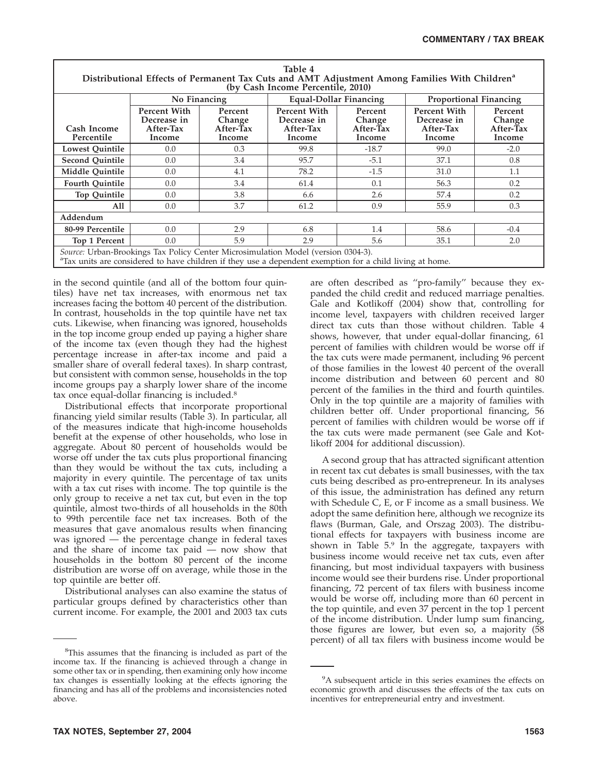| Table 4                                                                                                                                        |                     |                     |                                                                                   |                     |                               |                     |  |  |  |  |
|------------------------------------------------------------------------------------------------------------------------------------------------|---------------------|---------------------|-----------------------------------------------------------------------------------|---------------------|-------------------------------|---------------------|--|--|--|--|
| Distributional Effects of Permanent Tax Cuts and AMT Adjustment Among Families With Children <sup>a</sup><br>(by Cash Income Percentile, 2010) |                     |                     |                                                                                   |                     |                               |                     |  |  |  |  |
|                                                                                                                                                | No Financing        |                     | <b>Equal-Dollar Financing</b>                                                     |                     | <b>Proportional Financing</b> |                     |  |  |  |  |
|                                                                                                                                                | Percent With        |                     | <b>Percent With</b>                                                               |                     | Percent With                  |                     |  |  |  |  |
|                                                                                                                                                | Decrease in         | Percent<br>Change   | Decrease in                                                                       | Percent<br>Change   | Decrease in                   | Percent<br>Change   |  |  |  |  |
| Cash Income<br>Percentile                                                                                                                      | After-Tax<br>Income | After-Tax<br>Income | After-Tax<br>Income                                                               | After-Tax<br>Income | After-Tax<br>Income           | After-Tax<br>Income |  |  |  |  |
| <b>Lowest Quintile</b>                                                                                                                         | 0.0                 | 0.3                 | 99.8                                                                              | $-18.7$             | 99.0                          | $-2.0$              |  |  |  |  |
| <b>Second Quintile</b>                                                                                                                         | 0.0                 | 3.4                 | 95.7                                                                              | $-5.1$              | 37.1                          | 0.8                 |  |  |  |  |
| Middle Quintile                                                                                                                                | 0.0                 | 4.1                 | 78.2                                                                              | $-1.5$              | 31.0                          | 1.1                 |  |  |  |  |
| <b>Fourth Quintile</b>                                                                                                                         | 0.0                 | 3.4                 | 61.4                                                                              | 0.1                 | 56.3                          | 0.2                 |  |  |  |  |
| <b>Top Quintile</b>                                                                                                                            | 0.0                 | 3.8                 | 6.6                                                                               | 2.6                 | 57.4                          | 0.2                 |  |  |  |  |
| All                                                                                                                                            | 0.0                 | 3.7                 | 61.2                                                                              | 0.9                 | 55.9                          | 0.3                 |  |  |  |  |
| Addendum                                                                                                                                       |                     |                     |                                                                                   |                     |                               |                     |  |  |  |  |
| 80-99 Percentile                                                                                                                               | 0.0                 | 2.9                 | 6.8                                                                               | 1.4                 | 58.6                          | $-0.4$              |  |  |  |  |
| Top 1 Percent                                                                                                                                  | 0.0                 | 5.9                 | 2.9                                                                               | 5.6                 | 35.1                          | 2.0                 |  |  |  |  |
| <sup>a</sup> Tax units are considered to have children if they use a dependent exemption for a child living at home.                           |                     |                     | Source: Urban-Brookings Tax Policy Center Microsimulation Model (version 0304-3). |                     |                               |                     |  |  |  |  |

in the second quintile (and all of the bottom four quintiles) have net tax increases, with enormous net tax increases facing the bottom 40 percent of the distribution. In contrast, households in the top quintile have net tax cuts. Likewise, when financing was ignored, households in the top income group ended up paying a higher share of the income tax (even though they had the highest percentage increase in after-tax income and paid a smaller share of overall federal taxes). In sharp contrast, but consistent with common sense, households in the top income groups pay a sharply lower share of the income tax once equal-dollar financing is included.8

Distributional effects that incorporate proportional financing yield similar results (Table 3). In particular, all of the measures indicate that high-income households benefit at the expense of other households, who lose in aggregate. About 80 percent of households would be worse off under the tax cuts plus proportional financing than they would be without the tax cuts, including a majority in every quintile. The percentage of tax units with a tax cut rises with income. The top quintile is the only group to receive a net tax cut, but even in the top quintile, almost two-thirds of all households in the 80th to 99th percentile face net tax increases. Both of the measures that gave anomalous results when financing was ignored — the percentage change in federal taxes and the share of income tax paid — now show that households in the bottom 80 percent of the income distribution are worse off on average, while those in the top quintile are better off.

Distributional analyses can also examine the status of particular groups defined by characteristics other than current income. For example, the 2001 and 2003 tax cuts

are often described as ''pro-family'' because they expanded the child credit and reduced marriage penalties. Gale and Kotlikoff (2004) show that, controlling for income level, taxpayers with children received larger direct tax cuts than those without children. Table 4 shows, however, that under equal-dollar financing, 61 percent of families with children would be worse off if the tax cuts were made permanent, including 96 percent of those families in the lowest 40 percent of the overall income distribution and between 60 percent and 80 percent of the families in the third and fourth quintiles. Only in the top quintile are a majority of families with children better off. Under proportional financing, 56 percent of families with children would be worse off if the tax cuts were made permanent (see Gale and Kotlikoff 2004 for additional discussion).

A second group that has attracted significant attention in recent tax cut debates is small businesses, with the tax cuts being described as pro-entrepreneur. In its analyses of this issue, the administration has defined any return with Schedule C, E, or F income as a small business. We adopt the same definition here, although we recognize its flaws (Burman, Gale, and Orszag 2003). The distributional effects for taxpayers with business income are shown in Table  $5.9$  In the aggregate, taxpayers with business income would receive net tax cuts, even after financing, but most individual taxpayers with business income would see their burdens rise. Under proportional financing, 72 percent of tax filers with business income would be worse off, including more than 60 percent in the top quintile, and even 37 percent in the top 1 percent of the income distribution. Under lump sum financing, those figures are lower, but even so, a majority (58 percent) of all tax filers with business income would be

<sup>&</sup>lt;sup>8</sup>This assumes that the financing is included as part of the income tax. If the financing is achieved through a change in some other tax or in spending, then examining only how income tax changes is essentially looking at the effects ignoring the financing and has all of the problems and inconsistencies noted above.

<sup>&</sup>lt;sup>9</sup>A subsequent article in this series examines the effects on economic growth and discusses the effects of the tax cuts on incentives for entrepreneurial entry and investment.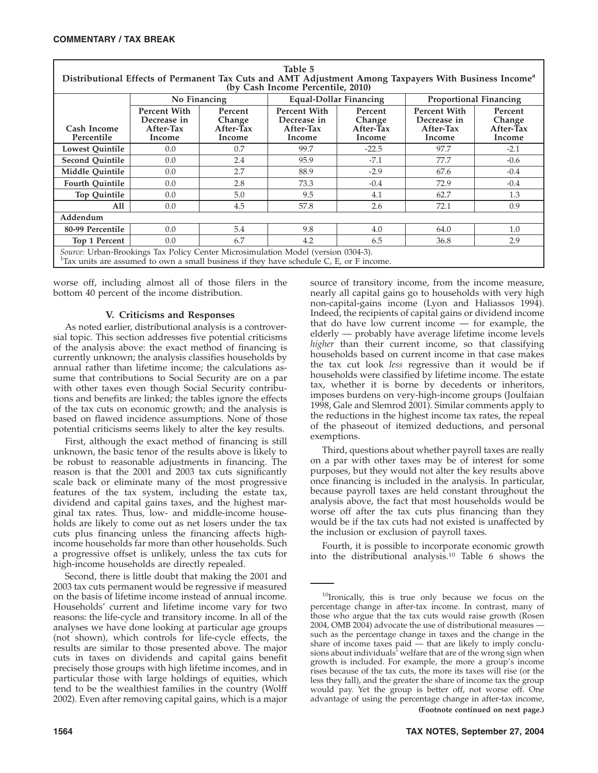| таріе э<br>Distributional Effects of Permanent Tax Cuts and AMT Adjustment Among Taxpayers With Business Income <sup>a</sup><br>(by Cash Income Percentile, 2010)                        |                                                           |                                          |                                                           |                                          |                                                           |                                          |  |  |  |  |
|------------------------------------------------------------------------------------------------------------------------------------------------------------------------------------------|-----------------------------------------------------------|------------------------------------------|-----------------------------------------------------------|------------------------------------------|-----------------------------------------------------------|------------------------------------------|--|--|--|--|
|                                                                                                                                                                                          | No Financing                                              |                                          | <b>Equal-Dollar Financing</b>                             |                                          |                                                           | <b>Proportional Financing</b>            |  |  |  |  |
| Cash Income<br>Percentile                                                                                                                                                                | <b>Percent With</b><br>Decrease in<br>After-Tax<br>Income | Percent<br>Change<br>After-Tax<br>Income | <b>Percent With</b><br>Decrease in<br>After-Tax<br>Income | Percent<br>Change<br>After-Tax<br>Income | <b>Percent With</b><br>Decrease in<br>After-Tax<br>Income | Percent<br>Change<br>After-Tax<br>Income |  |  |  |  |
| <b>Lowest Quintile</b>                                                                                                                                                                   | 0.0                                                       | 0.7                                      | 99.7                                                      | $-22.5$                                  | 97.7                                                      | $-2.1$                                   |  |  |  |  |
| <b>Second Quintile</b>                                                                                                                                                                   | 0.0                                                       | 2.4                                      | 95.9                                                      | $-7.1$                                   | 77.7                                                      | $-0.6$                                   |  |  |  |  |
| Middle Ouintile                                                                                                                                                                          | 0.0                                                       | 2.7                                      | 88.9                                                      | $-2.9$                                   | 67.6                                                      | $-0.4$                                   |  |  |  |  |
| <b>Fourth Quintile</b>                                                                                                                                                                   | 0.0                                                       | 2.8                                      | 73.3                                                      | $-0.4$                                   | 72.9                                                      | $-0.4$                                   |  |  |  |  |
| <b>Top Quintile</b>                                                                                                                                                                      | 0.0                                                       | 5.0                                      | 9.5                                                       | 4.1                                      | 62.7                                                      | 1.3                                      |  |  |  |  |
| All                                                                                                                                                                                      | 0.0                                                       | 4.5                                      | 57.8                                                      | 2.6                                      | 72.1                                                      | 0.9                                      |  |  |  |  |
| Addendum                                                                                                                                                                                 |                                                           |                                          |                                                           |                                          |                                                           |                                          |  |  |  |  |
| 80-99 Percentile                                                                                                                                                                         | 0.0                                                       | 5.4                                      | 9.8                                                       | 4.0                                      | 64.0                                                      | 1.0                                      |  |  |  |  |
| Top 1 Percent                                                                                                                                                                            | 0.0                                                       | 6.7                                      | 4.2                                                       | 6.5                                      | 36.8                                                      | 2.9                                      |  |  |  |  |
| Source: Urban-Brookings Tax Policy Center Microsimulation Model (version 0304-3).<br><sup>1</sup> Tax units are assumed to own a small business if they have schedule C, E, or F income. |                                                           |                                          |                                                           |                                          |                                                           |                                          |  |  |  |  |

**Table 5**

worse off, including almost all of those filers in the bottom 40 percent of the income distribution.

# **V. Criticisms and Responses**

As noted earlier, distributional analysis is a controversial topic. This section addresses five potential criticisms of the analysis above: the exact method of financing is currently unknown; the analysis classifies households by annual rather than lifetime income; the calculations assume that contributions to Social Security are on a par with other taxes even though Social Security contributions and benefits are linked; the tables ignore the effects of the tax cuts on economic growth; and the analysis is based on flawed incidence assumptions. None of those potential criticisms seems likely to alter the key results.

First, although the exact method of financing is still unknown, the basic tenor of the results above is likely to be robust to reasonable adjustments in financing. The reason is that the 2001 and 2003 tax cuts significantly scale back or eliminate many of the most progressive features of the tax system, including the estate tax, dividend and capital gains taxes, and the highest marginal tax rates. Thus, low- and middle-income households are likely to come out as net losers under the tax cuts plus financing unless the financing affects highincome households far more than other households. Such a progressive offset is unlikely, unless the tax cuts for high-income households are directly repealed.

Second, there is little doubt that making the 2001 and 2003 tax cuts permanent would be regressive if measured on the basis of lifetime income instead of annual income. Households' current and lifetime income vary for two reasons: the life-cycle and transitory income. In all of the analyses we have done looking at particular age groups (not shown), which controls for life-cycle effects, the results are similar to those presented above. The major cuts in taxes on dividends and capital gains benefit precisely those groups with high lifetime incomes, and in particular those with large holdings of equities, which tend to be the wealthiest families in the country (Wolff 2002). Even after removing capital gains, which is a major

source of transitory income, from the income measure, nearly all capital gains go to households with very high non-capital-gains income (Lyon and Haliassos 1994). Indeed, the recipients of capital gains or dividend income that do have low current income — for example, the elderly — probably have average lifetime income levels *higher* than their current income, so that classifying households based on current income in that case makes the tax cut look *less* regressive than it would be if households were classified by lifetime income. The estate tax, whether it is borne by decedents or inheritors, imposes burdens on very-high-income groups (Joulfaian 1998, Gale and Slemrod 2001). Similar comments apply to the reductions in the highest income tax rates, the repeal of the phaseout of itemized deductions, and personal exemptions.

Third, questions about whether payroll taxes are really on a par with other taxes may be of interest for some purposes, but they would not alter the key results above once financing is included in the analysis. In particular, because payroll taxes are held constant throughout the analysis above, the fact that most households would be worse off after the tax cuts plus financing than they would be if the tax cuts had not existed is unaffected by the inclusion or exclusion of payroll taxes.

Fourth, it is possible to incorporate economic growth into the distributional analysis.10 Table 6 shows the

<sup>&</sup>lt;sup>10</sup>Ironically, this is true only because we focus on the percentage change in after-tax income. In contrast, many of those who argue that the tax cuts would raise growth (Rosen 2004, OMB 2004) advocate the use of distributional measures such as the percentage change in taxes and the change in the share of income taxes paid — that are likely to imply conclusions about individuals' welfare that are of the wrong sign when growth is included. For example, the more a group's income rises because of the tax cuts, the more its taxes will rise (or the less they fall), and the greater the share of income tax the group would pay. Yet the group is better off, not worse off. One advantage of using the percentage change in after-tax income, **(Footnote continued on next page.)**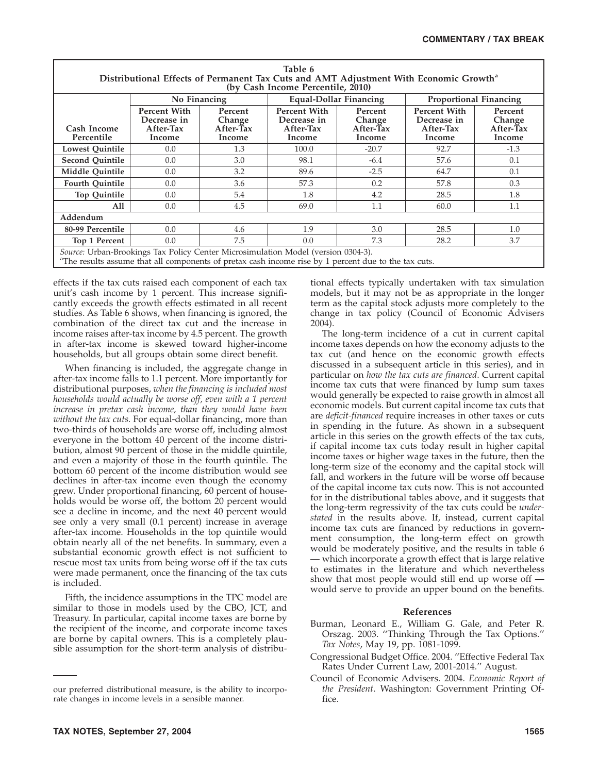| Table 6<br>Distributional Effects of Permanent Tax Cuts and AMT Adjustment With Economic Growth <sup>a</sup><br>(by Cash Income Percentile, 2010)                                                     |                                                    |                                          |                                                    |                                          |                                                    |                                          |  |  |  |  |
|-------------------------------------------------------------------------------------------------------------------------------------------------------------------------------------------------------|----------------------------------------------------|------------------------------------------|----------------------------------------------------|------------------------------------------|----------------------------------------------------|------------------------------------------|--|--|--|--|
|                                                                                                                                                                                                       | No Financing                                       |                                          | Equal-Dollar Financing                             |                                          |                                                    | <b>Proportional Financing</b>            |  |  |  |  |
| Cash Income<br>Percentile                                                                                                                                                                             | Percent With<br>Decrease in<br>After-Tax<br>Income | Percent<br>Change<br>After-Tax<br>Income | Percent With<br>Decrease in<br>After-Tax<br>Income | Percent<br>Change<br>After-Tax<br>Income | Percent With<br>Decrease in<br>After-Tax<br>Income | Percent<br>Change<br>After-Tax<br>Income |  |  |  |  |
| <b>Lowest Quintile</b>                                                                                                                                                                                | 0.0                                                | 1.3                                      | 100.0                                              | $-20.7$                                  | 92.7                                               | $-1.3$                                   |  |  |  |  |
| <b>Second Quintile</b>                                                                                                                                                                                | 0.0                                                | 3.0                                      | 98.1                                               | $-6.4$                                   | 57.6                                               | 0.1                                      |  |  |  |  |
| Middle Quintile                                                                                                                                                                                       | 0.0                                                | 3.2                                      | 89.6                                               | $-2.5$                                   | 64.7                                               | 0.1                                      |  |  |  |  |
| <b>Fourth Quintile</b>                                                                                                                                                                                | 0.0                                                | 3.6                                      | 57.3                                               | 0.2                                      | 57.8                                               | 0.3                                      |  |  |  |  |
| <b>Top Quintile</b>                                                                                                                                                                                   | 0.0                                                | 5.4                                      | 1.8                                                | 4.2                                      | 28.5                                               | 1.8                                      |  |  |  |  |
| A11                                                                                                                                                                                                   | 0.0                                                | 4.5                                      | 69.0                                               | 1.1                                      | 60.0                                               | 1.1                                      |  |  |  |  |
| Addendum                                                                                                                                                                                              |                                                    |                                          |                                                    |                                          |                                                    |                                          |  |  |  |  |
| 80-99 Percentile                                                                                                                                                                                      | 0.0                                                | 4.6                                      | 1.9                                                | 3.0                                      | 28.5                                               | $1.0\,$                                  |  |  |  |  |
| Top 1 Percent                                                                                                                                                                                         | 0.0                                                | 7.5                                      | 0.0                                                | 7.3                                      | 28.2                                               | 3.7                                      |  |  |  |  |
| Source: Urban-Brookings Tax Policy Center Microsimulation Model (version 0304-3).<br><sup>a</sup> The results assume that all components of pretax cash income rise by 1 percent due to the tax cuts. |                                                    |                                          |                                                    |                                          |                                                    |                                          |  |  |  |  |

effects if the tax cuts raised each component of each tax unit's cash income by 1 percent. This increase significantly exceeds the growth effects estimated in all recent studies. As Table 6 shows, when financing is ignored, the combination of the direct tax cut and the increase in income raises after-tax income by 4.5 percent. The growth in after-tax income is skewed toward higher-income households, but all groups obtain some direct benefit.

When financing is included, the aggregate change in after-tax income falls to 1.1 percent. More importantly for distributional purposes, *when the financing is included most households would actually be worse off, even with a 1 percent increase in pretax cash income, than they would have been without the tax cuts.* For equal-dollar financing, more than two-thirds of households are worse off, including almost everyone in the bottom 40 percent of the income distribution, almost 90 percent of those in the middle quintile, and even a majority of those in the fourth quintile. The bottom 60 percent of the income distribution would see declines in after-tax income even though the economy grew. Under proportional financing, 60 percent of households would be worse off, the bottom 20 percent would see a decline in income, and the next 40 percent would see only a very small (0.1 percent) increase in average after-tax income. Households in the top quintile would obtain nearly all of the net benefits. In summary, even a substantial economic growth effect is not sufficient to rescue most tax units from being worse off if the tax cuts were made permanent, once the financing of the tax cuts is included.

Fifth, the incidence assumptions in the TPC model are similar to those in models used by the CBO, JCT, and Treasury. In particular, capital income taxes are borne by the recipient of the income, and corporate income taxes are borne by capital owners. This is a completely plausible assumption for the short-term analysis of distribu-

tional effects typically undertaken with tax simulation models, but it may not be as appropriate in the longer term as the capital stock adjusts more completely to the change in tax policy (Council of Economic Advisers 2004).

The long-term incidence of a cut in current capital income taxes depends on how the economy adjusts to the tax cut (and hence on the economic growth effects discussed in a subsequent article in this series), and in particular on *how the tax cuts are financed*. Current capital income tax cuts that were financed by lump sum taxes would generally be expected to raise growth in almost all economic models. But current capital income tax cuts that are *deficit-financed* require increases in other taxes or cuts in spending in the future. As shown in a subsequent article in this series on the growth effects of the tax cuts, if capital income tax cuts today result in higher capital income taxes or higher wage taxes in the future, then the long-term size of the economy and the capital stock will fall, and workers in the future will be worse off because of the capital income tax cuts now. This is not accounted for in the distributional tables above, and it suggests that the long-term regressivity of the tax cuts could be *understated* in the results above. If, instead, current capital income tax cuts are financed by reductions in government consumption, the long-term effect on growth would be moderately positive, and the results in table 6 — which incorporate a growth effect that is large relative to estimates in the literature and which nevertheless show that most people would still end up worse off would serve to provide an upper bound on the benefits.

# **References**

- Burman, Leonard E., William G. Gale, and Peter R. Orszag. 2003. ''Thinking Through the Tax Options.'' *Tax Notes*, May 19, pp. 1081-1099.
- Congressional Budget Office. 2004. ''Effective Federal Tax Rates Under Current Law, 2001-2014.'' August.
- Council of Economic Advisers. 2004. *Economic Report of the President*. Washington: Government Printing Office.

our preferred distributional measure, is the ability to incorporate changes in income levels in a sensible manner.